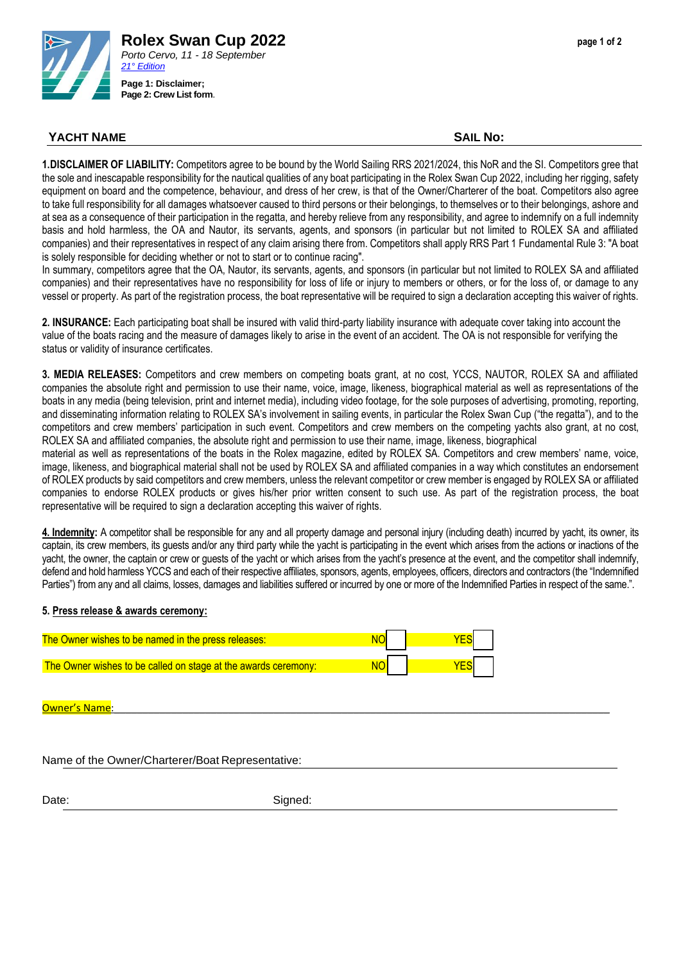

## **YACHT NAME SAIL No:**

**1.DISCLAIMER OF LIABILITY:** Competitors agree to be bound by the World Sailing RRS 2021/2024, this NoR and the SI. Competitors gree that the sole and inescapable responsibility for the nautical qualities of any boat participating in the Rolex Swan Cup 2022, including her rigging, safety equipment on board and the competence, behaviour, and dress of her crew, is that of the Owner/Charterer of the boat. Competitors also agree to take full responsibility for all damages whatsoever caused to third persons or their belongings, to themselves or to their belongings, ashore and at sea as a consequence of their participation in the regatta, and hereby relieve from any responsibility, and agree to indemnify on a full indemnity basis and hold harmless, the OA and Nautor, its servants, agents, and sponsors (in particular but not limited to ROLEX SA and affiliated companies) and their representatives in respect of any claim arising there from. Competitors shall apply RRS Part 1 Fundamental Rule 3: "A boat is solely responsible for deciding whether or not to start or to continue racing".

In summary, competitors agree that the OA, Nautor, its servants, agents, and sponsors (in particular but not limited to ROLEX SA and affiliated companies) and their representatives have no responsibility for loss of life or injury to members or others, or for the loss of, or damage to any vessel or property. As part of the registration process, the boat representative will be required to sign a declaration accepting this waiver of rights.

**2. INSURANCE:** Each participating boat shall be insured with valid third-party liability insurance with adequate cover taking into account the value of the boats racing and the measure of damages likely to arise in the event of an accident. The OA is not responsible for verifying the status or validity of insurance certificates.

**3. MEDIA RELEASES:** Competitors and crew members on competing boats grant, at no cost, YCCS, NAUTOR, ROLEX SA and affiliated companies the absolute right and permission to use their name, voice, image, likeness, biographical material as well as representations of the boats in any media (being television, print and internet media), including video footage, for the sole purposes of advertising, promoting, reporting, and disseminating information relating to ROLEX SA's involvement in sailing events, in particular the Rolex Swan Cup ("the regatta"), and to the competitors and crew members' participation in such event. Competitors and crew members on the competing yachts also grant, at no cost, ROLEX SA and affiliated companies, the absolute right and permission to use their name, image, likeness, biographical

material as well as representations of the boats in the Rolex magazine, edited by ROLEX SA. Competitors and crew members' name, voice, image, likeness, and biographical material shall not be used by ROLEX SA and affiliated companies in a way which constitutes an endorsement of ROLEX products by said competitors and crew members, unless the relevant competitor or crew member is engaged by ROLEX SA or affiliated companies to endorse ROLEX products or gives his/her prior written consent to such use. As part of the registration process, the boat representative will be required to sign a declaration accepting this waiver of rights.

**4. Indemnity:** A competitor shall be responsible for any and all property damage and personal injury (including death) incurred by yacht, its owner, its captain, its crew members, its guests and/or any third party while the yacht is participating in the event which arises from the actions or inactions of the yacht, the owner, the captain or crew or guests of the yacht or which arises from the yacht's presence at the event, and the competitor shall indemnify, defend and hold harmless YCCS and each of their respective affiliates, sponsors, agents, employees, officers, directors and contractors (the "Indemnified Parties") from any and all claims, losses, damages and liabilities suffered or incurred by one or more of the Indemnified Parties in respect of the same.".

## **5. Press release & awards ceremony:**

| The Owner wishes to be named in the press releases:            |  |
|----------------------------------------------------------------|--|
| The Owner wishes to be called on stage at the awards ceremony: |  |

Owner's Name

Name of the Owner/Charterer/Boat Representative:

Date: Signed: Signed: